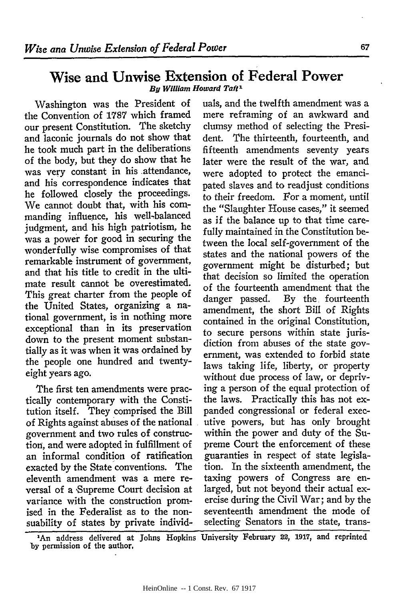## Wise and Unwise Extension of Federal Power *By William Howard Taft1*

Washington was the President of the Convention of **1787** which framed our present Constitution. The sketchy and laconic journals do not show that he took much part in the deliberations of the body, but they do show that he was very constant in his attendance, and his correspondence indicates that he followed closely the proceedings. We cannot doubt that, with his comnanding influence, his well-balanced judgment, and his high patriotism, he was a power for good in securing the wonderfully wise compromises of that remarkable instrument of government, and that his title to credit in the ultimate result cannot be overestimated. This great charter from the people of the United States, organizing a national government, is in nothing more exceptional than in its preservation down to the present moment substantially as it was when it was ordained by the people one hundred and twentyeight years ago.

The first ten amendments were practically contemporary with the Constitution itself. They comprised the Bill of Rights against abuses of the national government and two rules of construction, and were adopted in fulfillment of an informal condition of ratification exacted by the State conventions. The eleventh amendment was a mere reversal of a 'Supreme Court decision at variance with the construction promised in the Federalist as to the nonsuability of states by private individuals, and the twelfth amendment was a mere reframing of an awkward and clumsy method of selecting the President. The thirteenth, fourteenth, and fifteenth amendments seventy years later were the result of the war, and were adopted to protect the emancipated slaves and to readjust conditions to their freedom. For a moment, until the "Slaughter House cases," it seemed as if the balance up to that time carefully maintained in the Constitution between the local self-government of the states and the national powers of the government might be disturbed; but that decision so limited the operation of the fourteenth amendment that the danger passed. By the fourteenth amendment, the short Bill of Rights contained in the original Constitution, to secure persons within state jurisdiction from abuses of the state government, was extended to forbid state laws taking life, liberty, or property without due process of law, or depriving a person of the equal protection of the laws. Practically this has not expanded congressional or federal executive powers, but has only brought within the power and duty of the Supreme Court the enforcement of these guaranties in respect of state legislation. In the sixteenth amendment, the taxing powers of Congress are enlarged, but not beyond their actual exercise during the Civil War; and by the seventeenth amendment the mode of selecting Senators in the state, trans-

'An address delivered at Johns Hopkins University February **22, 1917,** and reprinted **by** permission of the author,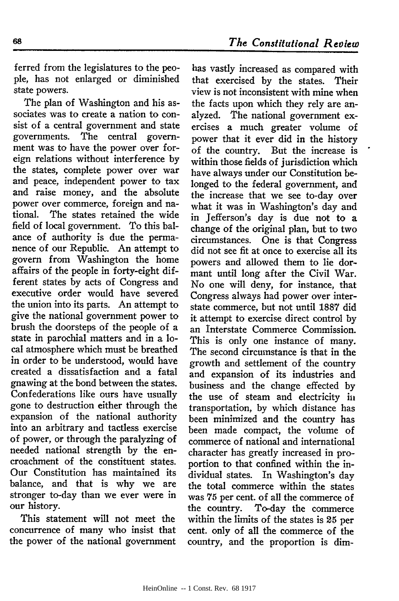ferred from the legislatures to the people, has not enlarged or diminished state powers.

The plan of Washington and his associates was to create a nation to consist of a central government and state governments. The central government was to have the power over foreign relations without interference by the states, complete power over war and peace, independent power to tax and raise money, and the absolute power over commerce, foreign and national. The states retained the wide field of local government. To this balance of authority is due the permanence of our Republic. An attempt to govern from Washington the home affairs of the people in forty-eight different states by acts of Congress and executive order would have severed the union into its parts. An attempt to give the national government power to brush the doorsteps of the people of a state in parochial matters and in a local atmosphere which must be breathed in order to be understood, would have created a dissatisfaction and a fatal gnawing at the bond between the states. Confederations like ours have usually gone to destruction either through the expansion of the national authority into an arbitrary and tactless exercise of power, or through the paralyzing of needed national strength by the encroachment of the constituent states. Our Constitution has maintained its balance, and that is why we are stronger to-day than we ever were in our history.

This statement will not meet the concurrence of many who insist that the power of the national government

has vastly increased as compared with that exercised by the states. Their view is not inconsistent with mine when the facts upon which they rely are analyzed. The national government exercises a much greater volume of power that it ever did in the history of the country. But the increase is within those fields of jurisdiction which have always under our Constitution belonged to the federal government, and the increase that we see to-day over what it was in Washington's day and in Jefferson's day is due not to a change of the original plan, but to two circumstances. One is that Congress did not see fit at once to exercise all its powers and allowed them to lie dormant until long after the Civil War. No one will deny, for instance, that Congress always had power over interstate commerce, but not until 1887 did it attempt to exercise direct control by an Interstate Commerce Commission. This is only one instance of many. The second circumstance is that in the growth and settlement of the country and expansion of its industries and business and the change effected by the use of steam and electricity in transportation, by which distance has been minimized and the country has been made compact, the volume of commerce of national and international character has greatly increased in proportion to that confined within the individual states. In Washington's day the total commerce within the states was 75 per cent. of all the commerce of the country. To-day the commerce within the limits of the states is 25 per cent. only of all the commerce of the country, and the proportion is dim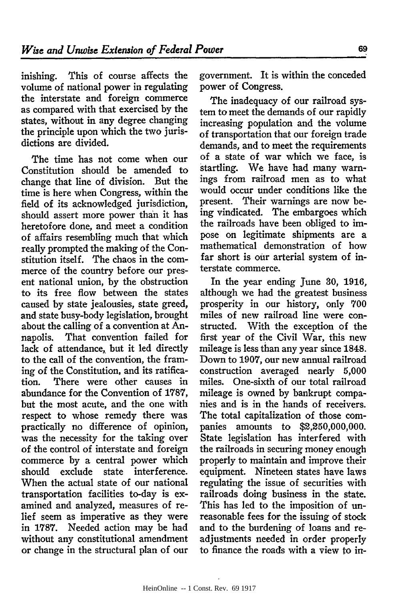inishing. This of course affects the volume of national power in regulating the interstate and foreign commerce as compared with that exercised by the states, without in any degree changing the principle upon which the two jurisdictions are divided.

The time has not come when our Constitution should be amended to change that line of division. But the time is here when Congress, within the field of its acknowledged jurisdiction, should assert more power than it has heretofore done, and meet a condition of affairs resembling much that which really prompted the making of the Constitution itself. The chaos in the commerce of the country before our present national union, by the obstruction to its free flow between the states caused by state jealousies, state greed, and state busy-body legislation, brought about the calling of a convention at Annapolis. That convention failed for lack of attendance, but it led directly to the call of the convention, the framing of the Constitution, and its ratification. There were other causes in abundance for the Convention of 1787, but the most acute, and the one with respect to whose remedy there was practically no difference of opinion, was the necessity for the taking over of the control of interstate and foreign commerce by a central power which should exclude state interference. When the actual state of our national transportation facilities to-day is examined and analyzed, measures of relief seem as imperative as they were in **1787.** Needed action may be had without any constitutional amendment or change in the structural plan of our government. It is within the conceded power of Congress.

The inadequacy of our railroad system to meet the demands of our rapidly increasing population and the volume of transportation that our foreign trade demands, and to meet the requirements of a state of war which we face, is startling. We have had many warnings from railroad men as to what would occur under conditions like the present. Their warnings are now being vindicated. The embargoes which the railroads have been obliged to impose on legitimate shipments are a mathematical demonstration of how far short is our arterial system of interstate commerce.

In the year ending June **30, 1916,** although we had the greatest business prosperity in our history, only 700 miles of new railroad line were constructed. With the exception of the first year of the Civil War, this new mileage is less than any year since 1848. Down to 1907, our new annual railroad construction averaged nearly 5,000 miles. One-sixth of our total railroad mileage is owned by bankrupt companies and is in the hands of receivers. The total capitalization of those companies amounts to \$2,250,000,000. State legislation has interfered with the railroads in securing money enough properly to maintain and improve their equipment. Nineteen states have laws regulating the issue of securities with railroads doing business in the state. This has led to the imposition of unreasonable fees for the issuing of stock and to the burdening of loans and readjustments needed in order properly to finance the roads with a view to in-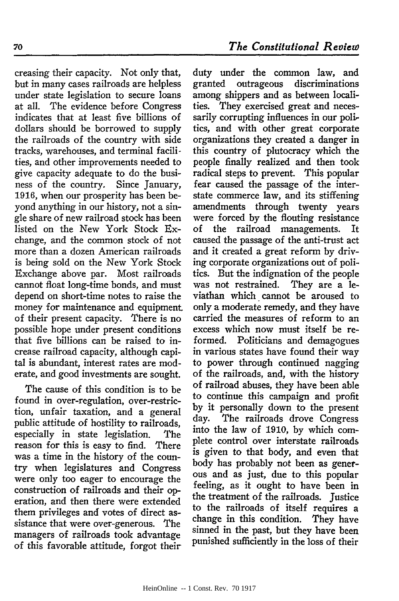creasing their capacity. Not only that, but in many cases railroads are helpless under state legislation to secure loans at all. The evidence before Congress indicates that at least five billions of dollars should be borrowed to supply the railroads of the country with side tracks, warehouses, and terminal facilities, and other improvements needed to give capacity adequate to do the business of the country. Since January, 1916, when our prosperity has been beyond anything in our history, not a single share of new railroad stock has been listed on the New York Stock Exchange, and the common stock of not more than a dozen American railroads is being sold on the New York Stock Exchange above par. Most railroads cannot float long-time bonds, and must depend on short-time notes to raise the money for maintenance and equipment. of their present capacity. There is no possible hope under present conditions that five billions can be raised to increase railroad capacity, although capital is abundant, interest rates are moderate, and good investments are sought.

The cause of this condition is to be found in over-regulation, over-restriction, unfair taxation, and a general public attitude of hostility to railroads, especially in state legislation. The reason for this is easy to find. There was a time in the history of the country when legislatures and Congress were only too eager to encourage the construction of railroads and their operation, and then there were extended them privileges and votes of direct assistance that were over-generous. The managers of railroads took advantage of this favorable attitude, forgot their

duty under the common law, and granted outrageous discriminations among shippers and as between localities. They exercised great and necessarily corrupting influences in our politics, and with other great corporate organizations they created a danger in this country of plutocracy which the people finally realized and then took radical steps to prevent. This popular fear caused the passage of the interstate commerce law, and its stiffening amendments through twenty years were forced by the flouting resistance of the railroad managements. It caused the passage of the anti-trust act and it created a great reform by driving corporate organizations out of politics. But the indignation of the people was not restrained. They are a leviathan which cannot be aroused to only a moderate remedy, and they have carried the measures of reform to an excess which now must itself be reformed. Politicians and demagogues in various states have found their way to power through continued nagging of the railroads, and, with the history of railroad abuses, they have been able to continue this campaign and profit by it personally down to the present day. The railroads drove Congress into the law of **1910,** by which complete control over interstate railroads is given to that body, and even that body has probably not been as generous and as just, due to this popular feeling, as it ought to have been in the treatment of the railroads. Justice to the railroads of itself requires a change in this condition. They have sinned in the past, but they have been punished sufficiently in the loss of their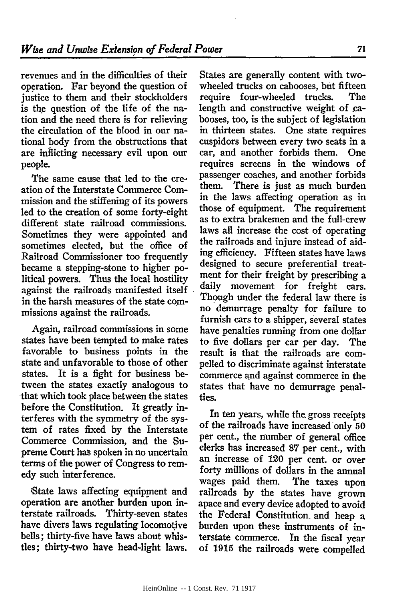revenues and in the difficulties of their operation. Far beyond the question of justice to them and their stockholders is the question of the life of the nation and the need there is for relieving the circulation of the blood in our national body from the obstructions that are inflicting necessary evil upon our people.

The same cause that led to the creation of the Interstate Commerce Commission and the stiffening of its powers led to the creation of some forty-eight different state railroad commissions. Sometimes they were appointed and sometimes elected, but the office of Railroad Commissioner too frequently became a stepping-stone to higher political powers. Thus the local hostility against the railroads manifested itself in the harsh measures of the state commissions against the railroads.

Again, railroad commissions in some states have been tempted to make rates favorable to business points in the state and unfavorable to those of other states. It is a fight for business between the states exactly analogous to that which took place between the states before the Constitution. It greatly interferes with the symmetry of the system of rates fixed **by** the Interstate Commerce Commission, and the Supreme Court **han** spoken in no uncertain terms of the power of Congress to remedy such interference.

;State laws affecting equipment and operation are another burden upon interstate railroads. Thirty-seven states have divers laws regulating locomotive bells; thirty-five have laws about whistles; thirty-two have head-light laws.

States are generally content with twowheeled trucks on cabooses, but fifteen require four-wheeled trucks. The length and constructive weight of cabooses, too, is the subject of legislation in thirteen states. One state requires cuspidors between every two seats in a car, and another forbids them. One requires screens in the windows of passenger coaches, and another forbids them. There is just as much burden in the laws affecting operation as in those of equipment. The requirement as to extra brakemen and the full-crew laws all increase the cost of operating the railroads and injure instead of aiding efficiency. Fifteen states have laws designed to secure preferential treatment for their freight **by** prescribing a daily movement for freight cars. Though under the federal law there is no demurrage penalty for failure to furnish cars to a shipper, several states have penalties running from one dollar to five dollars per car per day. The result is that the railroads are compelled to discriminate against interstate commerce and against commerce in the states that have no demurrage penalties.

In ten years, while the gross receipts of the railroads have increased only 50 per cent., the number of general office clerks has increased 87 per cent., with an increase of 120 per cent. or over forty millions of dollars in the annual wages paid them. The taxes upon railroads **by** the states have grown apace and every device adopted to avoid the Federal Constitution. and heap a burden upon these instruments of interstate commerce. In the fiscal year of **1915** the railroads were compelled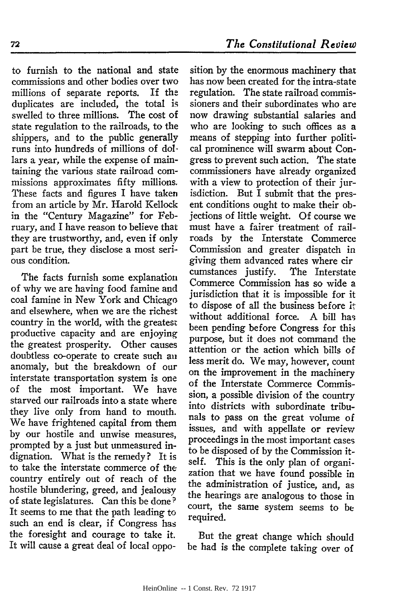to furnish to the national and state commissions and other bodies over two millions of separate reports. If the duplicates are included, the total is swelled to three millions. The cost of state regulation to the railroads, to the shippers, and to the public generally runs into hundreds of millions of dollars a year, while the expense of maintaining the various state railroad commissions approximates fifty millions. These facts and figures I have taken from an article by Mr. Harold Kellock in the "Century Magazine" for February, and I have reason to believe that they are trustworthy, and, even if only part be true, they disclose a most serious condition.

The facts furnish some explanation of why we are having food famine and coal famine in New York and Chicago and elsewhere, when we are the richest country in the world, with the greatest productive capacity and are enjoying the greatest prosperity. Other causes doubtless co-operate to create such an anomaly, but the breakdown of our interstate transportation system is one of the most important. We have starved our railroads into a state where they live only from hand to mouth. We have frightened capital from them by our hostile and unwise measures, prompted by a just but unmeasured indignation. What is the remedy? It is to take the interstate commerce of the country entirely out of reach of the hostile blundering, greed, and jealousy of state legislatures. Can this be done? It seems to me that the path leading to such an end is clear, if Congress has the foresight and courage to take it. It will cause a great deal of local oppo-

sition by the enormous machinery that has now been created for the intra-state regulation. The state railroad commissioners and their subordinates who are now drawing substantial salaries and who are looking to such offices as a means of stepping into further political prominence will swarm about Congress to prevent such action. The state commissioners have already organized with a view to protection of their jurisdiction. But I submit that the present conditions ought to make their objections of little weight. Of course we must have a fairer treatment of railroads by the Interstate Commerce Commission and greater dispatch in giving them advanced rates where cir cumstances justify. The Interstate Commerce Commission has so wide a jurisdiction that it is impossible for it to dispose of all the business before it without additional force. A bill has been pending before Congress for this purpose, but it does not command the attention or the action which bills of less merit do. We may, however, count on the improvement in the machinery of the Interstate Commerce Commission, a possible division of the country into districts with subordinate tribunals to pass on the great volume of issues, and with appellate or review proceedings in the most important cases to be disposed of by the Commission itself. This is the only plan of organization that we have found possible in the administration of justice, and, as the hearings are analogous to those in court, the same system seems to be required.

But the great change which should be had is the complete taking over of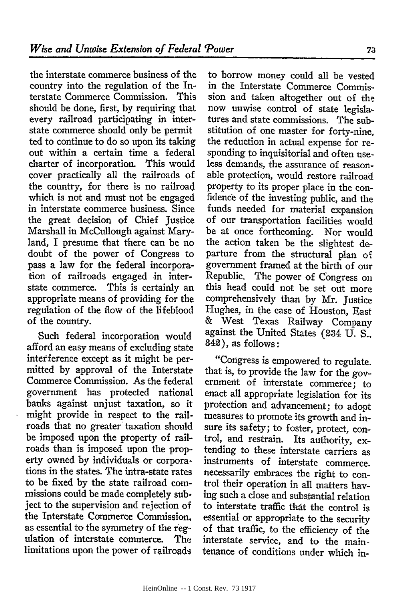the interstate commerce business of the country into the regulation of the Interstate Commerce Commission. This should be done, first, by requiring that every railroad participating in interstate commerce should only be permit ted to continue to do so upon its taking out within a certain time a federal charter of incorporation. This would cover practically all the railroads of the country, for there is no railroad which is not and must not be engaged in interstate commerce business. Since the great decision of Chief Justice Marshall in McCullough against Maryland, I presume that there can be no doubt of the power of Congress to pass a law for the federal incorporation of railroads engaged in interstate commerce. This is certainly an appropriate means of providing for the regulation of the flow of the lifeblood of the country.

Such federal incorporation would afford an easy means of excluding state interference except as it might be permitted **by** approval of the Interstate Commerce Commission. As the federal government has protected national banks against unjust taxation, so it might provide in respect to the railroads that no greater taxation should be imposed upon the property of railroads than is imposed upon the property owned **by** individuals or corporations in the states. The intra-state rates to be fixed **by** the state railroad commissions could be made completely subject to the supervision and rejection of the Interstate Commerce Commission, as essential to the symmetry of the regulation of interstate commerce. limitations upon the power of railroads

to borrow money could all be vested in the Interstate Commerce Commission and taken altogether out of the now unwise control of state legislatures and state commissions. The substitution of one master for forty-nine, the reduction in actual expense for responding to inquisitorial and often useless demands, the assurance of reasonable protection, would restore railroad property to its proper place in the confidence of the investing public, and the funds needed for material expansion of our transportation facilities would be at once forthcoming. Nor would the action taken be the slightest departure from the structural plan of government framed at the birth of our Republic. The power of Congress on this head could not be set out more comprehensively than by Mr. Justice Hughes, in the case of Houston, East & West Texas Railway Company against the United States (234 U. S., 342), as follows:

"Congress is empowered to regulate. that is, to provide the law for the government of interstate commerce; to enact all appropriate legislation for its protection and advancement; to adopt measures to promote its growth and insure its safety; to foster, protect, control, and restrain. Its authority, extending to these interstate carriers as instruments of interstate commerce. necessarily embraces the right to control their operation in all matters having such a close and substantial relation to interstate traffic that the control is essential or appropriate to the security of that traffic, to the efficiency of the interstate service, and to the maintenance of conditions under which in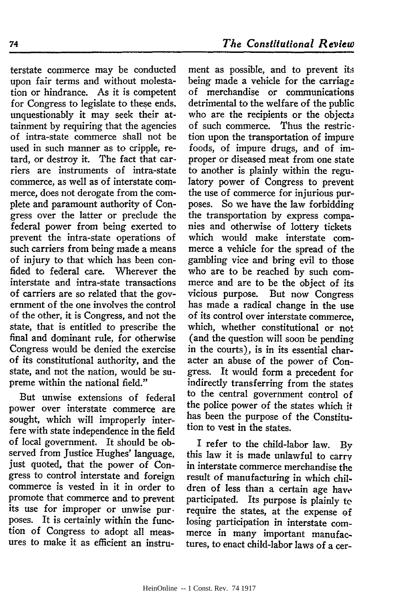terstate commerce may be conducted upon fair terms and without molestation or hindrance. As it is competent for Congress to legislate to these ends, unquestionably it may seek their attainment by requiring that the agencies of intra-state commerce shall not be used in such manner as to cripple, retard, or destroy it. The fact that carriers are instruments of intra-state commerce, as well as of interstate commerce, does not derogate from the complete and paramount authority of Congress over the latter or preclude the federal power from being exerted to prevent the intra-state operations of such carriers from being made a means of injury to that which has been confided to federal care. Wherever the interstate and intra-state transactions of carriers are so related that the government of the one involves the control of the other, it is Congress, and not the state, that is entitled to prescribe the final and dominant rule, for otherwise Congress would be denied the exercise of its constitutional authority, and the state, and not the nation, would be supreme within the national field."

But unwise extensions of federal power over interstate commerce are sought, which will improperly interfere with state independence in the field of local government. It should be observed from Justice Hughes' language, just quoted, that the power of Congress to control interstate and foreign commerce is vested in it in order to promote that commerce and to prevent its use for improper or unwise pur. poses. It is certainly within the function of Congress to adopt all measures to make it as efficient an instru-

ment as possible, and to prevent its being made a vehicle for the carriage of merchandise or communications detrimental to the welfare of the public who are the recipients or the objects of such commerce. Thus the restriction upon the transportation of impure foods, of impure drugs, and of improper or diseased meat from one state to another is plainly within the regulatory power of Congress to prevent the use of commerce for injurious purposes. So we have the law forbidding the transportation by express companies and otherwise of lottery tickets which would make interstate commerce a vehicle for the spread of the gambling vice and bring evil to those who are to be reached by such commerce and are to be the object of its vicious purpose. But now Congress has made a radical change in the use of its control over interstate commerce, which, whether constitutional or not (and the question will soon be pending in the courts), is in its essential character an abuse of the power of Congress. It would form a precedent for indirectly transferring from the states to the central government control of the police power of the states which it has been the purpose of the Constitution to vest in the states.

I refer to the child-labor law. By this law it is made unlawful to carry in interstate commerce merchandise the result of manufacturing in which children of less than a certain age have participated. Its purpose is plainly to require the states, at the expense of losing participation in interstate commerce in many important manufactures, to enact child-labor laws of a cer-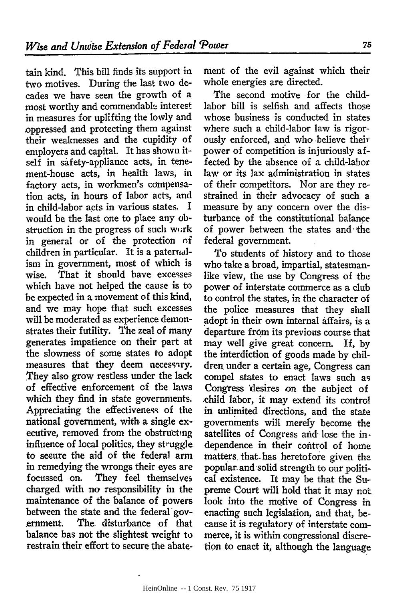tain kind. This bill finds its support in two motives. During the last two decades we have seen the growth of a most worthy and commendable interest in measures for uplifting the lowly and oppressed and protecting them against their weaknesses and the cupidity of employers and capital. It has shown itself in safety-appliance acts, in tenement-house acts, in health laws, in factory acts, in workmen's compensation acts, in hours of labor acts, and in child-labor acts in various states. I would be the last one to place any obstruction in the progress of such work in general or of the protection of children in particular. It is a paternalism in government, most of which is wise. That it should have excesses which have not helped the cause is to be expected in a movement of this kind, and we may hope that such excesses will be moderated as experience demonstrates their futility. The zeal of many generates impatience on their part at the slowness of some states to adopt measures that they deem necessary. They also grow restless under the lack of effective enforcement of the laws which they find in state governments. Appreciating the effectiveness of the national government, with. a single executive, removed from the obstructing influence of local politics, they struggle to secure the aid of the federal arm in remedying the wrongs their eyes are focussed on. They feel themselves charged with no responsibility in the maintenance of the balance of powers between the state and the federal'gov- .ernment. The disturbance of that balance has not the slightest weight to restrain their effort to secure the abate.

ment of the evil against which their whole energies are directed.

The second motive for the childlabor bill is selfish and affects those whose business is conducted in states where such a child-labor law is rigorously enforced, and who believe their power of competition is injuriously affected **by** the absence of a child-labor law or its lax administration in states of their competitors. Nor are they restrained in their advocacy of such a measure **by** any concern over the disturbance of the constitutional balance of power between the states and the federal government.

To students of history and to those who take a broad, impartial, statesmanlike view, the use **by** Congress of the power of interstate commerce as a club to control the states, in the character of the police measures that they shall adopt in their own internal affairs, is a departure from its previous course that may well give great concern. If, **by** the interdiction of goods made **by** children under a certain age, Congress can compel states to enact laws such as Congress 'desires on the subject of .child labor, it may extend its control in unlimited directions, and the state governments will merely become the satellites of Congress and lose the independence in their control of home matters, that- has heretofore given the popular and solid strength to our political existence. It may be that the Supreme Court will hold that it may not look into the motive of Congress in enacting such legislation, and that, because it is regulatory of interstate commerce, it is within congressional discretion to enact it, although the language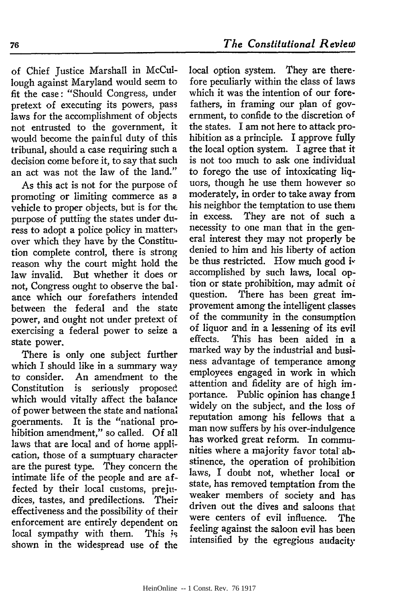of Chief Justice Marshall in McCullough against Maryland would seem to fit the case: "Should Congress, under pretext of executing its powers, pass laws for the accomplishment of objects not entrusted to the government, it would become the painful duty of this tribunal, should a case requiring such a decision come before it, to say that such an act was not the law of the land."

As this act is not for the purpose of promoting or limiting commerce as a vehicle to proper objects, but is for tht purpose of putting the states under duress to adopt a police policy in matter, over which they have by the Constitution complete control, there is strong reason why the court might hold the law invalid. But whether it does or not, Congress ought to observe the balance which our forefathers intended between the federal and the state power, and ought not under pretext of exercising a federal power to seize a state power.

There is only one subject further which I should like in a summary way to consider. An amendment to the Constitution is seriously proposed which would vitally affect the balance of power between the state and national goernments. It is the "national prohibition amendment," so called. Of all laws that are local and of home application, those of a sumptuary character are the purest type. They concern the intimate life of the people and are affected by their local customs, prejudices, tastes, and predilections. Their effectiveness and the possibility of their enforcement are entirely dependent on local sympathy with them. This **is** shown in the widespread use of the local option system. They are therefore peculiarly within the class of laws which it was the intention of our forefathers, in framing our plan of government, to confide to the discretion of the states. I am not here to attack prohibition as a principle. I approve fully the local option system. I agree that it is not too much to ask one individual to forego the use of intoxicating liquors, though he use them however so moderately, in order to take away from his neighbor the temptation to use them in excess. They are not of such a necessity to one man that in the general interest they may not properly be denied to him and his liberty of action be thus restricted. How much good is accomplished by such laws, local option or state prohibition, may admit oi question. There has been great improvement among the intelligent classes of the community in the consumption of liquor and in a lessening of its evil effects. This has been aided in a marked way by the industrial and business advantage of temperance among employees engaged in work in which attention and fidelity are of high importance. Public opinion has change 1 widely on the subject, and the loss of reputation among his fellows that a man now suffers by his over-indulgence has worked great reform. In communities where a majority favor total abstinence, the operation of prohibition laws, I doubt not, whether local or state, has removed temptation from the weaker members of society and has driven out the dives and saloons that were centers of evil influence. The feeling against the saloon evil has been intensified by the egregious audacity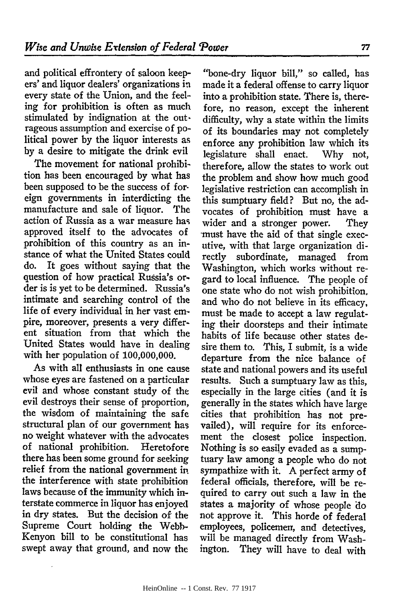and political effrontery of saloon keepers' and liquor dealers' organizations in every state of the Union, and the feeling for prohibition is often as much stimulated by indignation at the out. rageous assumption and exercise of political power by the liquor interests as by a desire to mitigate the drink evil

The movement for national prohibition has been encouraged by what has been supposed to be the success of foreign governments in interdicting the manufacture and sale of liquor. The action of Russia as a war measure has approved itself to the advocates of prohibition of this country as an instance of what the United States could do. It goes without saying that the question of how practical Russia's order is is yet to be determined. Russia's intimate and searching control of the life of every individual in her vast empire, moreover, presents a very different situation from that which the United States would have in dealing with her population of 100,000,000.

As with all enthusiasts in one cause whose eyes are fastened on a particular evil and whose constant study of the evil destroys their sense of proportion, the wisdom of maintaining the safe structural plan of our government has no weight whatever with the advocates of national prohibition. Heretofore there has been some ground for seeking relief from the national government in the interference with state prohibition laws because of the immunity which interstate commerce in liquor has enjoyed in dry states. But the decision of the Supreme Court holding the Webb-Kenyon bill to be constitutional has swept away that ground, and now the

"bone-dry liquor bill," so called, has made it a federal offense to carry liquor into a prohibition state. There is, therefore, no reason, except the inherent difficulty, why a state within the limits of its boundaries may not completely enforce any prohibition law which its legislature shall enact. **Why** not, therefore, allow the states to work out the problem and show how much good legislative restriction can accomplish in this sumptuary field? But no, the advocates of prohibition must have a wider and a stronger power. They -must have the aid of that single executive, with that large organization directly subordinate, managed from Washington, which works without regard to local influence. The people of one state who do not wish prohibition, and who do not believe in its efficacy, must be made to accept a law regulating their doorsteps and their intimate habits of life because other states desire them to. This, I submit, is a wide departure from the nice balance of state and national powers and its useful results. Such a sumptuary law as this, especially in the large cities (and it is generally in the states which have large cities that prohibition has not prevailed), will require for its enforcement the closest police inspection. Nothing is so easily evaded as a sumptuary law among a people who do not sympathize with it. A perfect army of federal officials, therefore, will be required to carry out such a law in the states a majority of whose people do not approve it. This horde of federal employees, policemen, and detectives, will be managed directly from Washington. They will have to deal with